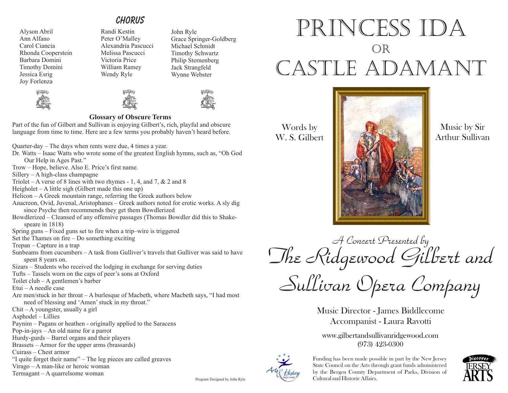## *chorus*

Alyson Abril Ann Alfano Carol Ciancia Rhonda Cooperstein Barbara Domini Timothy Domini Jessica Esrig Joy Forlenza





Randi Kestin







Grace Springer-Goldberg Michael Schmidt Timothy Schwartz Philip Sternenberg Jack Strangfeld Wynne Webster

John Ryle

### **Glossary of Obscure Terms**

Part of the fun of Gilbert and Sullivan is enjoying Gilbert's, rich, playful and obscure language from time to time. Here are a few terms you probably haven't heard before.

Quarter-day – The days when rents were due, 4 times a year.

- Dr. Watts Isaac Watts who wrote some of the greatest English hymns, such as, "Oh God Our Help in Ages Past."
- Trow Hope, believe. Also E. Price's first name.

Sillery – A high-class champagne

- Triolet A verse of 8 lines with two rhymes 1, 4, and 7,  $\&$  2 and 8
- Heigholet A little sigh (Gilbert made this one up)

Helicon – A Greek mountain range, referring the Greek authors below

- Anacreon, Ovid, Juvenal, Aristophanes Greek authors noted for erotic works. A sly dig since Psyche then recommends they get them Bowdlerized
- Bowdlerized Cleansed of any offensive passages (Thomas Bowdler did this to Shakespeare in 1818)

Spring guns – Fixed guns set to fire when a trip–wire is triggered

Set the Thames on fire – Do something exciting

Trepan – Capture in a trap

- Sunbeams from cucumbers A task from Gulliver's travels that Gulliver was said to have spent 8 years on.
- Sizars Students who received the lodging in exchange for serving duties

Tufts – Tassels worn on the caps of peer's sons at Oxford

Toilet club – A gentlemen's barber

Etui – A needle case

Are men/stuck in her throat – A burlesque of Macbeth, where Macbeth says, "I had most need of blessing and 'Amen' stuck in my throat."

Chit – A youngster, usually a girl

Asphodel – Lillies

- Paynim Pagans or heathen originally applied to the Saracens
- Pop-in-jays An old name for a parrot
- Hurdy-gurds Barrel organs and their players
- Brassets Armor for the upper arms (brassards)

Cuirass – Chest armor

"I quite forget their name" – The leg pieces are called greaves

Virago – A man-like or heroic woman

Termagant – A quarrelsome woman

# princess ida or castle adamant



W. S. Gilbert



Music by Sir Arthur Sullivan

*A Concert Presented by The Ridgewood Gilbert and* 

*Sullivan Opera Company*

Music Director - James Biddlecome Accompanist - Laura Ravotti

www.gilbertandsullivanridgewood.com (973) 423-0300



Funding has been made possible in part by the New Jersey State Council on the Arts through grant funds administered by the Bergen County Department of Parks, Division of Cultural and Historic Affairs.



Program Designed by John Ryle